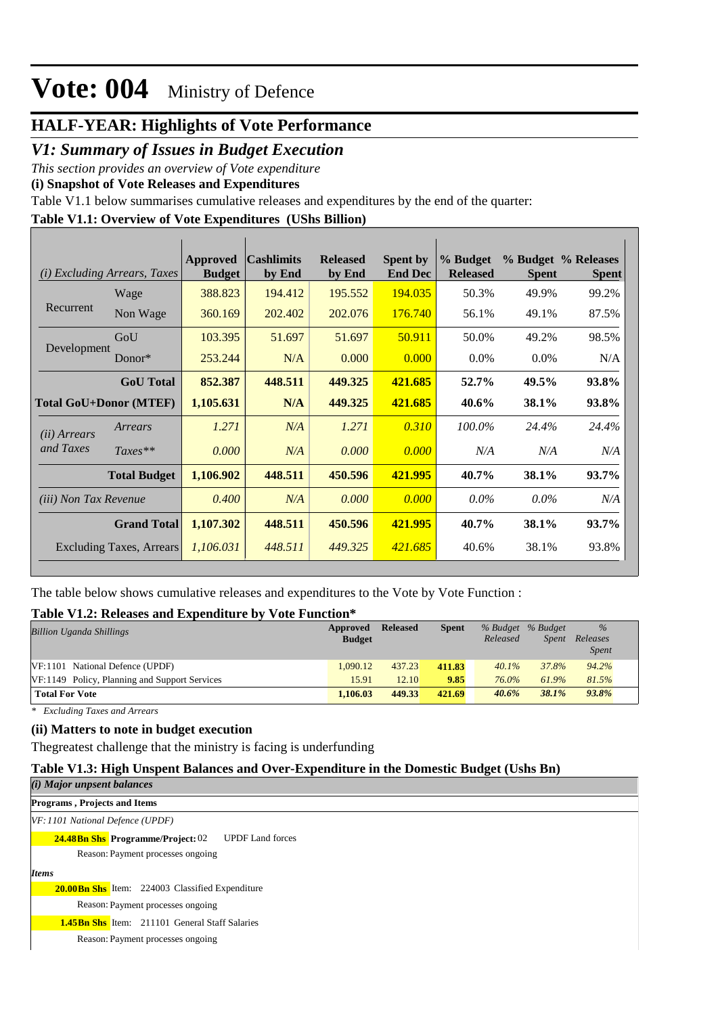## **HALF-YEAR: Highlights of Vote Performance**

### *V1: Summary of Issues in Budget Execution*

*This section provides an overview of Vote expenditure* 

**(i) Snapshot of Vote Releases and Expenditures**

Table V1.1 below summarises cumulative releases and expenditures by the end of the quarter:

## **Table V1.1: Overview of Vote Expenditures (UShs Billion)**

|                               | ( <i>i</i> ) Excluding Arrears, Taxes | Approved<br><b>Budget</b> | <b>Cashlimits</b><br>by End | <b>Released</b><br>by End | <b>Spent by</b><br><b>End Dec</b> | % Budget<br><b>Released</b> | <b>Spent</b> | % Budget % Releases<br><b>Spent</b> |
|-------------------------------|---------------------------------------|---------------------------|-----------------------------|---------------------------|-----------------------------------|-----------------------------|--------------|-------------------------------------|
|                               | Wage                                  | 388.823                   | 194.412                     | 195.552                   | 194.035                           | 50.3%                       | 49.9%        | 99.2%                               |
| Recurrent                     | Non Wage                              | 360.169                   | 202.402                     | 202.076                   | 176.740                           | 56.1%                       | 49.1%        | 87.5%                               |
|                               | GoU                                   | 103.395                   | 51.697                      | 51.697                    | 50.911                            | 50.0%                       | 49.2%        | 98.5%                               |
| Development                   | Donor $*$                             | 253.244                   | N/A                         | 0.000                     | 0.000                             | $0.0\%$                     | $0.0\%$      | N/A                                 |
|                               | <b>GoU</b> Total                      | 852.387                   | 448.511                     | 449.325                   | 421.685                           | 52.7%                       | 49.5%        | 93.8%                               |
| <b>Total GoU+Donor (MTEF)</b> |                                       | 1,105.631                 | N/A                         | 449.325                   | 421.685                           | 40.6%                       | 38.1%        | 93.8%                               |
| ( <i>ii</i> ) Arrears         | Arrears                               | 1.271                     | N/A                         | 1.271                     | 0.310                             | 100.0%                      | 24.4%        | 24.4%                               |
| and Taxes                     | $Taxes**$                             | 0.000                     | N/A                         | 0.000                     | 0.000                             | N/A                         | N/A          | N/A                                 |
|                               | <b>Total Budget</b>                   | 1,106.902                 | 448.511                     | 450.596                   | 421.995                           | 40.7%                       | 38.1%        | 93.7%                               |
| <i>(iii)</i> Non Tax Revenue  |                                       | 0.400                     | N/A                         | 0.000                     | 0.000                             | $0.0\%$                     | $0.0\%$      | N/A                                 |
|                               | <b>Grand Total</b>                    | 1,107.302                 | 448.511                     | 450.596                   | 421.995                           | 40.7%                       | 38.1%        | 93.7%                               |
|                               | Excluding Taxes, Arrears              | 1,106.031                 | 448.511                     | 449.325                   | 421.685                           | 40.6%                       | 38.1%        | 93.8%                               |

The table below shows cumulative releases and expenditures to the Vote by Vote Function :

#### **Table V1.2: Releases and Expenditure by Vote Function\***

| <b>Billion Uganda Shillings</b>               | Approved<br><b>Budget</b> | <b>Released</b> | <b>Spent</b> | Released | % Budget % Budget<br><b>Spent</b> | $\frac{0}{0}$<br>Releases<br><i>Spent</i> |
|-----------------------------------------------|---------------------------|-----------------|--------------|----------|-----------------------------------|-------------------------------------------|
| VF:1101 National Defence (UPDF)               | 1.090.12                  | 437.23          | 411.83       | $40.1\%$ | 37.8%                             | 94.2%                                     |
| VF:1149 Policy, Planning and Support Services | 15.91                     | 12.10           | 9.85         | 76.0%    | 61.9%                             | 81.5%                                     |
| <b>Total For Vote</b>                         | 1.106.03                  | 449.33          | 421.69       | 40.6%    | 38.1%                             | 93.8%                                     |

*\* Excluding Taxes and Arrears*

#### **(ii) Matters to note in budget execution**

Thegreatest challenge that the ministry is facing is underfunding

#### **Table V1.3: High Unspent Balances and Over-Expenditure in the Domestic Budget (Ushs Bn)**

| (i) Major unpsent balances                                          |
|---------------------------------------------------------------------|
| <b>Programs, Projects and Items</b>                                 |
| VF: 1101 National Defence (UPDF)                                    |
| <b>24.48Bn Shs Programme/Project: 02</b><br><b>UPDF</b> Land forces |
| Reason: Payment processes ongoing                                   |
| <b>Items</b>                                                        |
| <b>20.00Bn Shs</b> Item: 224003 Classified Expenditure              |
| Reason: Payment processes ongoing                                   |
| <b>1.45Bn Shs</b> Item: 211101 General Staff Salaries               |
| Reason: Payment processes ongoing                                   |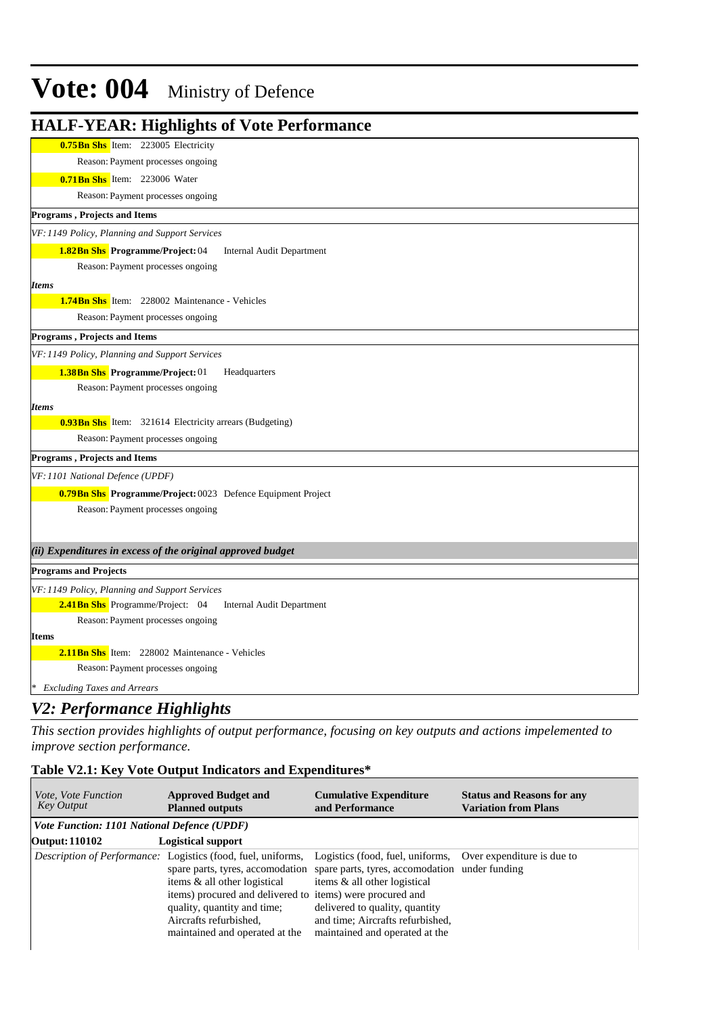| <b>HALF-YEAR: Highlights of Vote Performance</b>                    |
|---------------------------------------------------------------------|
| 0.75Bn Shs Item: 223005 Electricity                                 |
| Reason: Payment processes ongoing                                   |
| <b>0.71Bn Shs</b> Item: 223006 Water                                |
| Reason: Payment processes ongoing                                   |
| Programs, Projects and Items                                        |
| VF: 1149 Policy, Planning and Support Services                      |
| 1.82Bn Shs Programme/Project: 04<br>Internal Audit Department       |
| Reason: Payment processes ongoing                                   |
| <b>Items</b>                                                        |
| <b>1.74Bn Shs</b> Item: 228002 Maintenance - Vehicles               |
| Reason: Payment processes ongoing                                   |
| Programs, Projects and Items                                        |
| VF: 1149 Policy, Planning and Support Services                      |
| <b>1.38Bn Shs</b> Programme/Project: 01<br>Headquarters             |
| Reason: Payment processes ongoing                                   |
| <b>Items</b>                                                        |
| <b>0.93Bn Shs</b> Item: 321614 Electricity arrears (Budgeting)      |
| Reason: Payment processes ongoing                                   |
| Programs, Projects and Items                                        |
| VF: 1101 National Defence (UPDF)                                    |
| <b>0.79Bn Shs Programme/Project: 0023 Defence Equipment Project</b> |
| Reason: Payment processes ongoing                                   |
|                                                                     |
| (ii) Expenditures in excess of the original approved budget         |
| <b>Programs and Projects</b>                                        |
| VF: 1149 Policy, Planning and Support Services                      |
| 2.41Bn Shs Programme/Project: 04<br>Internal Audit Department       |
| Reason: Payment processes ongoing                                   |
| <b>Items</b>                                                        |
| 2.11Bn Shs Item: 228002 Maintenance - Vehicles                      |
| Reason: Payment processes ongoing                                   |
| * Excluding Taxes and Arrears                                       |

### *V2: Performance Highlights*

*This section provides highlights of output performance, focusing on key outputs and actions impelemented to improve section performance.*

### **Table V2.1: Key Vote Output Indicators and Expenditures\***

| <i>Vote, Vote Function</i><br><b>Key Output</b> | <b>Approved Budget and</b><br><b>Planned outputs</b>                                                                                                                                                                                                                                            | <b>Cumulative Expenditure</b><br>and Performance                                                                                                                                                                                                      | <b>Status and Reasons for any</b><br><b>Variation from Plans</b> |
|-------------------------------------------------|-------------------------------------------------------------------------------------------------------------------------------------------------------------------------------------------------------------------------------------------------------------------------------------------------|-------------------------------------------------------------------------------------------------------------------------------------------------------------------------------------------------------------------------------------------------------|------------------------------------------------------------------|
| Vote Function: 1101 National Defence (UPDF)     |                                                                                                                                                                                                                                                                                                 |                                                                                                                                                                                                                                                       |                                                                  |
| Output: 110102                                  | <b>Logistical support</b>                                                                                                                                                                                                                                                                       |                                                                                                                                                                                                                                                       |                                                                  |
|                                                 | <i>Description of Performance:</i> Logistics (food, fuel, uniforms,<br>spare parts, tyres, accomodation<br>items & all other logistical<br>items) procured and delivered to items) were procured and<br>quality, quantity and time;<br>Aircrafts refurbished.<br>maintained and operated at the | Logistics (food, fuel, uniforms, Over expenditure is due to<br>spare parts, tyres, accomodation under funding<br>items & all other logistical<br>delivered to quality, quantity<br>and time; Aircrafts refurbished,<br>maintained and operated at the |                                                                  |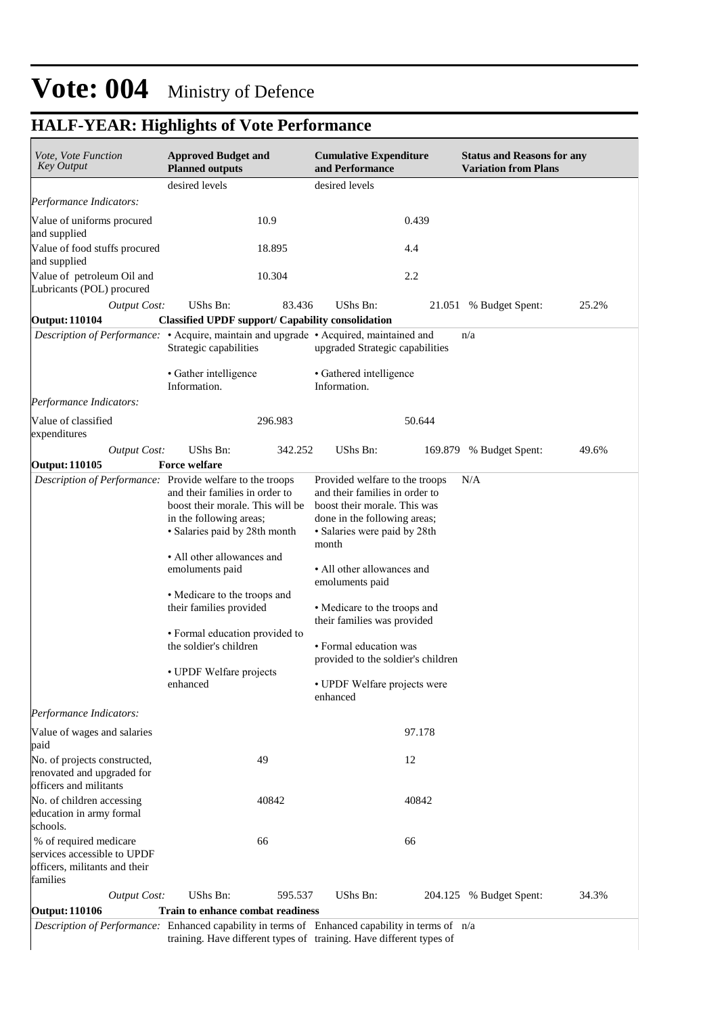## **HALF-YEAR: Highlights of Vote Performance**

| Performance Indicators:<br>Value of uniforms procured<br>and supplied<br>Value of food stuffs procured<br>and supplied<br>Value of petroleum Oil and<br>Lubricants (POL) procured<br><b>Output Cost:</b><br><b>Output: 110104</b><br>Description of Performance: • Acquire, maintain and upgrade • Acquired, maintained and<br>Performance Indicators:<br>Value of classified<br>expenditures<br><b>Output Cost:</b><br>Output: 110105<br>Description of Performance: Provide welfare to the troops | desired levels<br>10.9<br>18.895<br>10.304<br>UShs Bn:<br>83.436<br><b>Classified UPDF support/ Capability consolidation</b><br>Strategic capabilities<br>• Gather intelligence<br>Information.                                                                                                                                               | desired levels<br>0.439<br>4.4<br>2.2<br>UShs Bn:<br>21.051<br>upgraded Strategic capabilities                                                                                                                                                                                                                                                                                                        | 25.2%<br>% Budget Spent:<br>n/a  |
|-----------------------------------------------------------------------------------------------------------------------------------------------------------------------------------------------------------------------------------------------------------------------------------------------------------------------------------------------------------------------------------------------------------------------------------------------------------------------------------------------------|-----------------------------------------------------------------------------------------------------------------------------------------------------------------------------------------------------------------------------------------------------------------------------------------------------------------------------------------------|-------------------------------------------------------------------------------------------------------------------------------------------------------------------------------------------------------------------------------------------------------------------------------------------------------------------------------------------------------------------------------------------------------|----------------------------------|
|                                                                                                                                                                                                                                                                                                                                                                                                                                                                                                     |                                                                                                                                                                                                                                                                                                                                               |                                                                                                                                                                                                                                                                                                                                                                                                       |                                  |
|                                                                                                                                                                                                                                                                                                                                                                                                                                                                                                     |                                                                                                                                                                                                                                                                                                                                               |                                                                                                                                                                                                                                                                                                                                                                                                       |                                  |
|                                                                                                                                                                                                                                                                                                                                                                                                                                                                                                     |                                                                                                                                                                                                                                                                                                                                               |                                                                                                                                                                                                                                                                                                                                                                                                       |                                  |
|                                                                                                                                                                                                                                                                                                                                                                                                                                                                                                     |                                                                                                                                                                                                                                                                                                                                               |                                                                                                                                                                                                                                                                                                                                                                                                       |                                  |
|                                                                                                                                                                                                                                                                                                                                                                                                                                                                                                     |                                                                                                                                                                                                                                                                                                                                               |                                                                                                                                                                                                                                                                                                                                                                                                       |                                  |
|                                                                                                                                                                                                                                                                                                                                                                                                                                                                                                     |                                                                                                                                                                                                                                                                                                                                               |                                                                                                                                                                                                                                                                                                                                                                                                       |                                  |
|                                                                                                                                                                                                                                                                                                                                                                                                                                                                                                     |                                                                                                                                                                                                                                                                                                                                               |                                                                                                                                                                                                                                                                                                                                                                                                       |                                  |
|                                                                                                                                                                                                                                                                                                                                                                                                                                                                                                     |                                                                                                                                                                                                                                                                                                                                               |                                                                                                                                                                                                                                                                                                                                                                                                       |                                  |
|                                                                                                                                                                                                                                                                                                                                                                                                                                                                                                     |                                                                                                                                                                                                                                                                                                                                               | • Gathered intelligence<br>Information.                                                                                                                                                                                                                                                                                                                                                               |                                  |
|                                                                                                                                                                                                                                                                                                                                                                                                                                                                                                     |                                                                                                                                                                                                                                                                                                                                               |                                                                                                                                                                                                                                                                                                                                                                                                       |                                  |
|                                                                                                                                                                                                                                                                                                                                                                                                                                                                                                     | 296.983                                                                                                                                                                                                                                                                                                                                       | 50.644                                                                                                                                                                                                                                                                                                                                                                                                |                                  |
|                                                                                                                                                                                                                                                                                                                                                                                                                                                                                                     | UShs Bn:<br>342.252                                                                                                                                                                                                                                                                                                                           | UShs Bn:<br>169.879                                                                                                                                                                                                                                                                                                                                                                                   | % Budget Spent:<br>49.6%         |
|                                                                                                                                                                                                                                                                                                                                                                                                                                                                                                     | <b>Force welfare</b>                                                                                                                                                                                                                                                                                                                          |                                                                                                                                                                                                                                                                                                                                                                                                       |                                  |
|                                                                                                                                                                                                                                                                                                                                                                                                                                                                                                     | and their families in order to<br>boost their morale. This will be<br>in the following areas;<br>· Salaries paid by 28th month<br>• All other allowances and<br>emoluments paid<br>• Medicare to the troops and<br>their families provided<br>• Formal education provided to<br>the soldier's children<br>• UPDF Welfare projects<br>enhanced | Provided welfare to the troops<br>and their families in order to<br>boost their morale. This was<br>done in the following areas;<br>• Salaries were paid by 28th<br>month<br>• All other allowances and<br>emoluments paid<br>• Medicare to the troops and<br>their families was provided<br>• Formal education was<br>provided to the soldier's children<br>• UPDF Welfare projects were<br>enhanced | N/A                              |
| Performance Indicators:                                                                                                                                                                                                                                                                                                                                                                                                                                                                             |                                                                                                                                                                                                                                                                                                                                               |                                                                                                                                                                                                                                                                                                                                                                                                       |                                  |
| Value of wages and salaries<br>paid                                                                                                                                                                                                                                                                                                                                                                                                                                                                 |                                                                                                                                                                                                                                                                                                                                               | 97.178                                                                                                                                                                                                                                                                                                                                                                                                |                                  |
| No. of projects constructed,<br>renovated and upgraded for<br>officers and militants                                                                                                                                                                                                                                                                                                                                                                                                                | 49                                                                                                                                                                                                                                                                                                                                            | 12                                                                                                                                                                                                                                                                                                                                                                                                    |                                  |
| No. of children accessing<br>education in army formal<br>schools.                                                                                                                                                                                                                                                                                                                                                                                                                                   | 40842                                                                                                                                                                                                                                                                                                                                         | 40842                                                                                                                                                                                                                                                                                                                                                                                                 |                                  |
| % of required medicare<br>services accessible to UPDF<br>officers, militants and their<br>families                                                                                                                                                                                                                                                                                                                                                                                                  | 66                                                                                                                                                                                                                                                                                                                                            | 66                                                                                                                                                                                                                                                                                                                                                                                                    |                                  |
| <b>Output Cost:</b>                                                                                                                                                                                                                                                                                                                                                                                                                                                                                 | UShs Bn:<br>595.537                                                                                                                                                                                                                                                                                                                           | UShs Bn:                                                                                                                                                                                                                                                                                                                                                                                              | 34.3%<br>204.125 % Budget Spent: |
| Output: 110106<br>Train to enhance combat readiness                                                                                                                                                                                                                                                                                                                                                                                                                                                 |                                                                                                                                                                                                                                                                                                                                               |                                                                                                                                                                                                                                                                                                                                                                                                       |                                  |

training. Have different types of training. Have different types of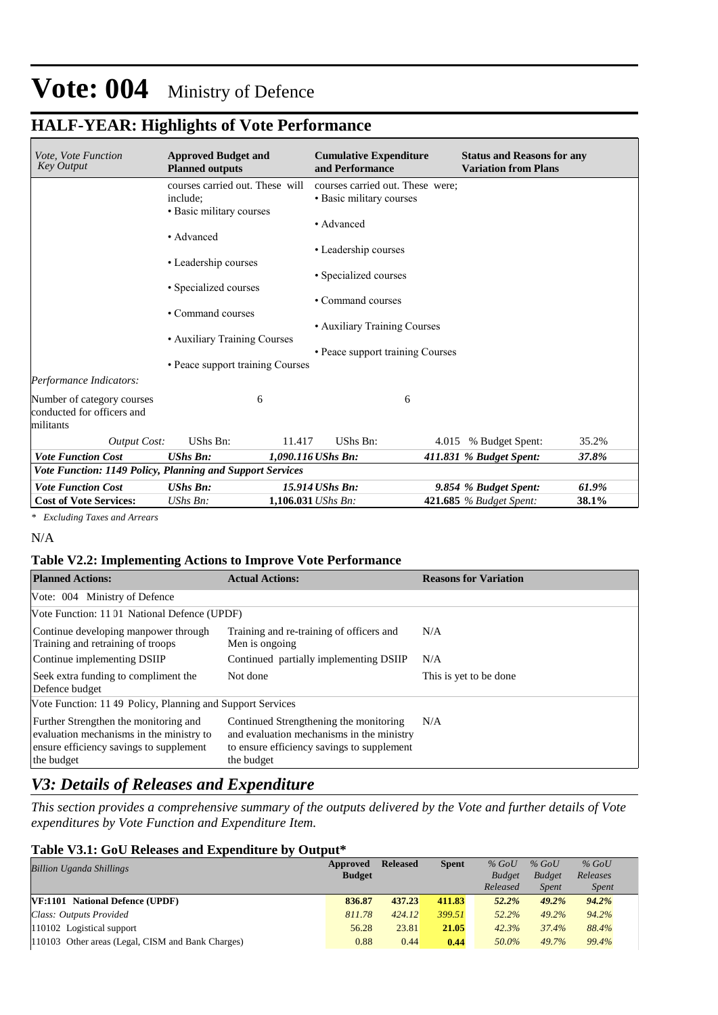### **HALF-YEAR: Highlights of Vote Performance**

| Vote, Vote Function<br><b>Key Output</b>                              | <b>Approved Budget and</b><br><b>Planned outputs</b>                    | <b>Cumulative Expenditure</b><br>and Performance             | <b>Status and Reasons for any</b><br><b>Variation from Plans</b> |       |
|-----------------------------------------------------------------------|-------------------------------------------------------------------------|--------------------------------------------------------------|------------------------------------------------------------------|-------|
|                                                                       | courses carried out. These will<br>include:<br>• Basic military courses | courses carried out. These were:<br>• Basic military courses |                                                                  |       |
|                                                                       | • Advanced                                                              | • Advanced                                                   |                                                                  |       |
|                                                                       | • Leadership courses                                                    | • Leadership courses                                         |                                                                  |       |
|                                                                       | • Specialized courses                                                   | • Specialized courses<br>• Command courses                   |                                                                  |       |
|                                                                       | • Command courses                                                       | • Auxiliary Training Courses                                 |                                                                  |       |
|                                                                       | • Auxiliary Training Courses<br>• Peace support training Courses        | • Peace support training Courses                             |                                                                  |       |
| Performance Indicators:                                               |                                                                         |                                                              |                                                                  |       |
| Number of category courses<br>conducted for officers and<br>militants | 6                                                                       | 6                                                            |                                                                  |       |
| <b>Output Cost:</b>                                                   | UShs Bn:                                                                | UShs Bn:<br>11.417                                           | 4.015 % Budget Spent:                                            | 35.2% |
| <b>Vote Function Cost</b>                                             | <b>UShs Bn:</b>                                                         | 1,090.116 UShs Bn:                                           | 411.831 % Budget Spent:                                          | 37.8% |
| Vote Function: 1149 Policy, Planning and Support Services             |                                                                         |                                                              |                                                                  |       |
| <b>Vote Function Cost</b>                                             | <b>UShs Bn:</b>                                                         | 15.914 UShs Bn:                                              | 9.854 % Budget Spent:                                            | 61.9% |
| <b>Cost of Vote Services:</b>                                         | $UShs Bn$ :                                                             | $1.106.031$ UShs Bn:                                         | 421.685 % Budget Spent:                                          | 38.1% |

*\* Excluding Taxes and Arrears*

N/A

#### **Table V2.2: Implementing Actions to Improve Vote Performance**

| <b>Planned Actions:</b>                                                                                                                    | <b>Actual Actions:</b>                                                                                                                          | <b>Reasons for Variation</b> |
|--------------------------------------------------------------------------------------------------------------------------------------------|-------------------------------------------------------------------------------------------------------------------------------------------------|------------------------------|
| Vote: 004 Ministry of Defence                                                                                                              |                                                                                                                                                 |                              |
| Vote Function: 11 01 National Defence (UPDF)                                                                                               |                                                                                                                                                 |                              |
| Continue developing manpower through<br>Training and retraining of troops                                                                  | Training and re-training of officers and<br>Men is ongoing                                                                                      | N/A                          |
| Continue implementing DSIIP                                                                                                                | Continued partially implementing DSIIP                                                                                                          | N/A                          |
| Seek extra funding to compliment the<br>Defence budget                                                                                     | Not done                                                                                                                                        | This is yet to be done       |
| Vote Function: 11 49 Policy, Planning and Support Services                                                                                 |                                                                                                                                                 |                              |
| Further Strengthen the monitoring and<br>evaluation mechanisms in the ministry to<br>ensure efficiency savings to supplement<br>the budget | Continued Strengthening the monitoring<br>and evaluation mechanisms in the ministry<br>to ensure efficiency savings to supplement<br>the budget | N/A                          |

### *V3: Details of Releases and Expenditure*

*This section provides a comprehensive summary of the outputs delivered by the Vote and further details of Vote expenditures by Vote Function and Expenditure Item.*

#### **Table V3.1: GoU Releases and Expenditure by Output\***

| <b>Billion Uganda Shillings</b>                   | Approved      | <b>Released</b> | <b>Spent</b> | $%$ GoU       | $%$ GoU       | $%$ GoU      |
|---------------------------------------------------|---------------|-----------------|--------------|---------------|---------------|--------------|
|                                                   | <b>Budget</b> |                 |              | <b>Budget</b> | <b>Budget</b> | Releases     |
|                                                   |               |                 |              | Released      | <b>Spent</b>  | <i>Spent</i> |
| <b>VF:1101</b> National Defence (UPDF)            | 836.87        | 437.23          | 411.83       | 52.2%         | 49.2%         | 94.2%        |
| Class: Outputs Provided                           | 811.78        | 424.12          | 399.51       | $52.2\%$      | 49.2%         | 94.2%        |
| 110102 Logistical support                         | 56.28         | 23.81           | 21.05        | 42.3%         | 37.4%         | 88.4%        |
| 110103 Other areas (Legal, CISM and Bank Charges) | 0.88          | 0.44            | 0.44         | 50.0%         | 49.7%         | 99.4%        |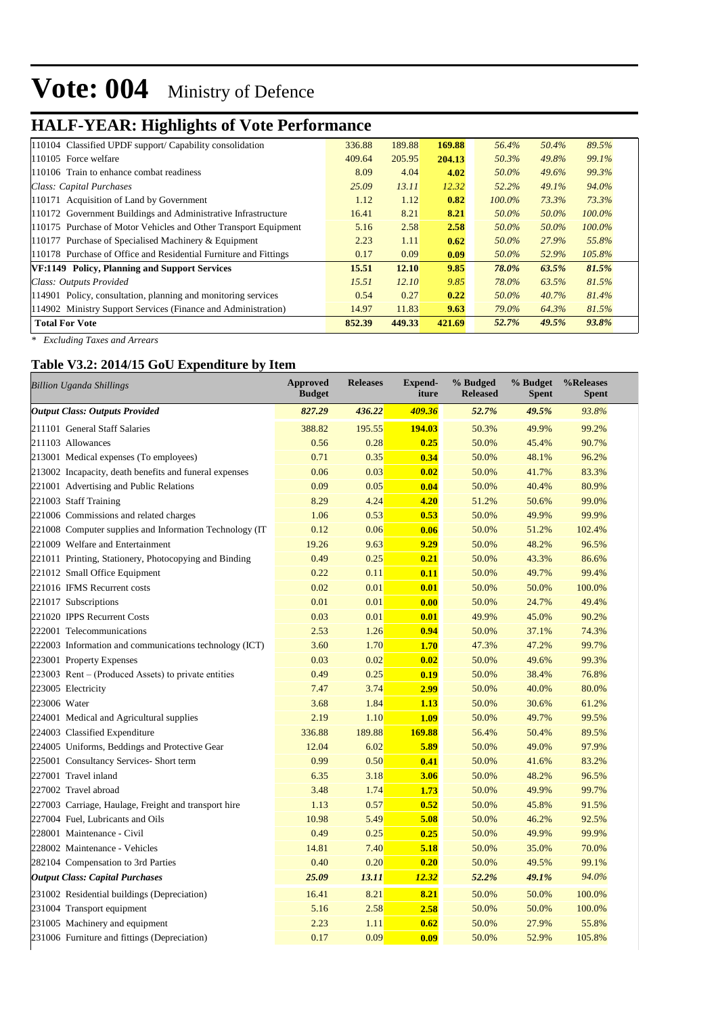## **HALF-YEAR: Highlights of Vote Performance**

| 110104 Classified UPDF support/ Capability consolidation         | 336.88 | 189.88 | 169.88 | 56.4%     | 50.4% | 89.5%     |
|------------------------------------------------------------------|--------|--------|--------|-----------|-------|-----------|
| 110105 Force welfare                                             | 409.64 | 205.95 | 204.13 | 50.3%     | 49.8% | 99.1%     |
| 110106 Train to enhance combat readiness                         | 8.09   | 4.04   | 4.02   | 50.0%     | 49.6% | 99.3%     |
| Class: Capital Purchases                                         | 25.09  | 13.11  | 12.32  | 52.2%     | 49.1% | 94.0%     |
| 110171 Acquisition of Land by Government                         | 1.12   | 1.12   | 0.82   | $100.0\%$ | 73.3% | 73.3%     |
| 110172 Government Buildings and Administrative Infrastructure    | 16.41  | 8.21   | 8.21   | 50.0%     | 50.0% | $100.0\%$ |
| 110175 Purchase of Motor Vehicles and Other Transport Equipment  | 5.16   | 2.58   | 2.58   | 50.0%     | 50.0% | 100.0%    |
| 110177 Purchase of Specialised Machinery & Equipment             | 2.23   | 1.11   | 0.62   | 50.0%     | 27.9% | 55.8%     |
| 110178 Purchase of Office and Residential Furniture and Fittings | 0.17   | 0.09   | 0.09   | 50.0%     | 52.9% | 105.8%    |
| VF:1149 Policy, Planning and Support Services                    | 15.51  | 12.10  | 9.85   | 78.0%     | 63.5% | 81.5%     |
| Class: Outputs Provided                                          | 15.51  | 12.10  | 9.85   | 78.0%     | 63.5% | 81.5%     |
| 114901 Policy, consultation, planning and monitoring services    | 0.54   | 0.27   | 0.22   | 50.0%     | 40.7% | 81.4%     |
| 114902 Ministry Support Services (Finance and Administration)    | 14.97  | 11.83  | 9.63   | 79.0%     | 64.3% | 81.5%     |
| <b>Total For Vote</b>                                            | 852.39 | 449.33 | 421.69 | 52.7%     | 49.5% | 93.8%     |

*\* Excluding Taxes and Arrears*

### **Table V3.2: 2014/15 GoU Expenditure by Item**

| Billion Uganda Shillings                                | <b>Approved</b><br><b>Budget</b> | <b>Releases</b> | <b>Expend-</b><br>iture | % Budged<br><b>Released</b> | % Budget<br><b>Spent</b> | %Releases<br><b>Spent</b> |
|---------------------------------------------------------|----------------------------------|-----------------|-------------------------|-----------------------------|--------------------------|---------------------------|
| <b>Output Class: Outputs Provided</b>                   | 827.29                           | 436.22          | 409.36                  | 52.7%                       | 49.5%                    | 93.8%                     |
| 211101 General Staff Salaries                           | 388.82                           | 195.55          | 194.03                  | 50.3%                       | 49.9%                    | 99.2%                     |
| 211103 Allowances                                       | 0.56                             | 0.28            | 0.25                    | 50.0%                       | 45.4%                    | 90.7%                     |
| 213001 Medical expenses (To employees)                  | 0.71                             | 0.35            | 0.34                    | 50.0%                       | 48.1%                    | 96.2%                     |
| 213002 Incapacity, death benefits and funeral expenses  | 0.06                             | 0.03            | 0.02                    | 50.0%                       | 41.7%                    | 83.3%                     |
| 221001 Advertising and Public Relations                 | 0.09                             | 0.05            | 0.04                    | 50.0%                       | 40.4%                    | 80.9%                     |
| 221003 Staff Training                                   | 8.29                             | 4.24            | 4.20                    | 51.2%                       | 50.6%                    | 99.0%                     |
| 221006 Commissions and related charges                  | 1.06                             | 0.53            | 0.53                    | 50.0%                       | 49.9%                    | 99.9%                     |
| 221008 Computer supplies and Information Technology (IT | 0.12                             | 0.06            | 0.06                    | 50.0%                       | 51.2%                    | 102.4%                    |
| 221009 Welfare and Entertainment                        | 19.26                            | 9.63            | 9.29                    | 50.0%                       | 48.2%                    | 96.5%                     |
| 221011 Printing, Stationery, Photocopying and Binding   | 0.49                             | 0.25            | 0.21                    | 50.0%                       | 43.3%                    | 86.6%                     |
| 221012 Small Office Equipment                           | 0.22                             | 0.11            | 0.11                    | 50.0%                       | 49.7%                    | 99.4%                     |
| 221016 IFMS Recurrent costs                             | 0.02                             | 0.01            | 0.01                    | 50.0%                       | 50.0%                    | 100.0%                    |
| 221017 Subscriptions                                    | 0.01                             | 0.01            | 0.00                    | 50.0%                       | 24.7%                    | 49.4%                     |
| 221020 IPPS Recurrent Costs                             | 0.03                             | 0.01            | 0.01                    | 49.9%                       | 45.0%                    | 90.2%                     |
| 222001 Telecommunications                               | 2.53                             | 1.26            | 0.94                    | 50.0%                       | 37.1%                    | 74.3%                     |
| 222003 Information and communications technology (ICT)  | 3.60                             | 1.70            | 1.70                    | 47.3%                       | 47.2%                    | 99.7%                     |
| 223001 Property Expenses                                | 0.03                             | 0.02            | 0.02                    | 50.0%                       | 49.6%                    | 99.3%                     |
| 223003 Rent – (Produced Assets) to private entities     | 0.49                             | 0.25            | 0.19                    | 50.0%                       | 38.4%                    | 76.8%                     |
| 223005 Electricity                                      | 7.47                             | 3.74            | 2.99                    | 50.0%                       | 40.0%                    | 80.0%                     |
| 223006 Water                                            | 3.68                             | 1.84            | 1.13                    | 50.0%                       | 30.6%                    | 61.2%                     |
| 224001 Medical and Agricultural supplies                | 2.19                             | 1.10            | 1.09                    | 50.0%                       | 49.7%                    | 99.5%                     |
| 224003 Classified Expenditure                           | 336.88                           | 189.88          | 169.88                  | 56.4%                       | 50.4%                    | 89.5%                     |
| 224005 Uniforms, Beddings and Protective Gear           | 12.04                            | 6.02            | 5.89                    | 50.0%                       | 49.0%                    | 97.9%                     |
| 225001 Consultancy Services- Short term                 | 0.99                             | 0.50            | 0.41                    | 50.0%                       | 41.6%                    | 83.2%                     |
| 227001 Travel inland                                    | 6.35                             | 3.18            | 3.06                    | 50.0%                       | 48.2%                    | 96.5%                     |
| 227002 Travel abroad                                    | 3.48                             | 1.74            | 1.73                    | 50.0%                       | 49.9%                    | 99.7%                     |
| 227003 Carriage, Haulage, Freight and transport hire    | 1.13                             | 0.57            | 0.52                    | 50.0%                       | 45.8%                    | 91.5%                     |
| 227004 Fuel, Lubricants and Oils                        | 10.98                            | 5.49            | 5.08                    | 50.0%                       | 46.2%                    | 92.5%                     |
| 228001 Maintenance - Civil                              | 0.49                             | 0.25            | 0.25                    | 50.0%                       | 49.9%                    | 99.9%                     |
| 228002 Maintenance - Vehicles                           | 14.81                            | 7.40            | 5.18                    | 50.0%                       | 35.0%                    | 70.0%                     |
| 282104 Compensation to 3rd Parties                      | 0.40                             | 0.20            | 0.20                    | 50.0%                       | 49.5%                    | 99.1%                     |
| <b>Output Class: Capital Purchases</b>                  | 25.09                            | 13.11           | 12.32                   | 52.2%                       | 49.1%                    | 94.0%                     |
| 231002 Residential buildings (Depreciation)             | 16.41                            | 8.21            | 8.21                    | 50.0%                       | 50.0%                    | 100.0%                    |
| 231004 Transport equipment                              | 5.16                             | 2.58            | 2.58                    | 50.0%                       | 50.0%                    | 100.0%                    |
| 231005 Machinery and equipment                          | 2.23                             | 1.11            | 0.62                    | 50.0%                       | 27.9%                    | 55.8%                     |
| 231006 Furniture and fittings (Depreciation)            | 0.17                             | 0.09            | 0.09                    | 50.0%                       | 52.9%                    | 105.8%                    |